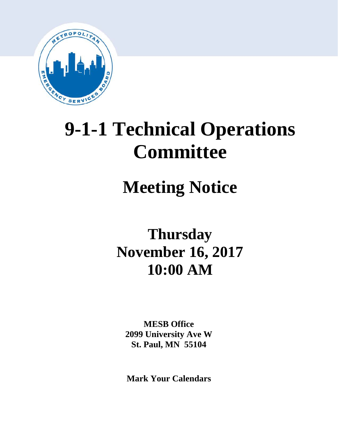

# **9-1-1 Technical Operations Committee**

# **Meeting Notice**

## **Thursday November 16, 2017 10:00 AM**

**MESB Office 2099 University Ave W St. Paul, MN 55104**

**Mark Your Calendars**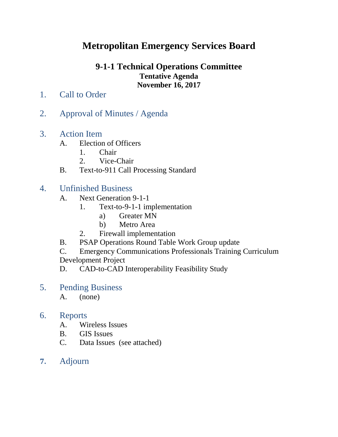### **Metropolitan Emergency Services Board**

### **9-1-1 Technical Operations Committee Tentative Agenda November 16, 2017**

- 1. Call to Order
- 2. Approval of Minutes / Agenda
- 3. Action Item
	- A. Election of Officers
		- 1. Chair
		- 2. Vice-Chair
	- B. Text-to-911 Call Processing Standard

#### 4. Unfinished Business

- A. Next Generation 9-1-1
	- 1. Text-to-9-1-1 implementation
		- a) Greater MN
		- b) Metro Area
	- 2. Firewall implementation
- B. PSAP Operations Round Table Work Group update
- C. Emergency Communications Professionals Training Curriculum Development Project
- D. CAD-to-CAD Interoperability Feasibility Study
- 5. Pending Business
	- A. (none)

#### 6. Reports

- A. Wireless Issues
- B. GIS Issues
- C. Data Issues (see attached)
- **7.** Adjourn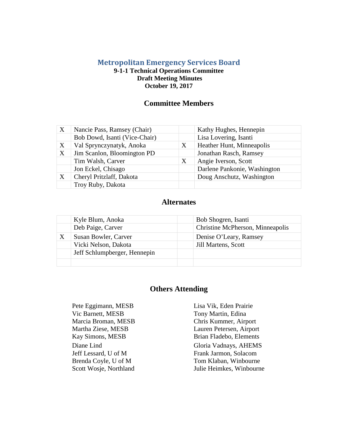#### **Metropolitan Emergency Services Board 9-1-1 Technical Operations Committee Draft Meeting Minutes October 19, 2017**

#### **Committee Members**

| X | Nancie Pass, Ramsey (Chair)   |   | Kathy Hughes, Hennepin       |  |  |
|---|-------------------------------|---|------------------------------|--|--|
|   | Bob Dowd, Isanti (Vice-Chair) |   | Lisa Lovering, Isanti        |  |  |
| X | Val Sprynczynatyk, Anoka<br>X |   | Heather Hunt, Minneapolis    |  |  |
| X | Jim Scanlon, Bloomington PD   |   | Jonathan Rasch, Ramsey       |  |  |
|   | Tim Walsh, Carver             | X | Angie Iverson, Scott         |  |  |
|   | Jon Eckel, Chisago            |   | Darlene Pankonie, Washington |  |  |
| X | Cheryl Pritzlaff, Dakota      |   | Doug Anschutz, Washington    |  |  |
|   | Troy Ruby, Dakota             |   |                              |  |  |

#### **Alternates**

| Kyle Blum, Anoka             | Bob Shogren, Isanti              |
|------------------------------|----------------------------------|
| Deb Paige, Carver            | Christine McPherson, Minneapolis |
| Susan Bowler, Carver         | Denise O'Leary, Ramsey           |
| Vicki Nelson, Dakota         | <b>Jill Martens, Scott</b>       |
| Jeff Schlumpberger, Hennepin |                                  |
|                              |                                  |

#### **Others Attending**

Pete Eggimann, MESB Lisa Vik, Eden Prairie<br>
Vic Barnett, MESB Tony Martin, Edina Marcia Broman, MESB Chris Kummer, Airport Jeff Lessard, U of M Brenda Coyle, U of M Scott Wosje, Northland

Tony Martin, Edina Martha Ziese, MESB Lauren Petersen, Airport Kay Simons, MESB Brian Fladebo, Elements Diane Lind Gloria Vadnays, AHEMS Frank Jarmon, Solacom Tom Klaban, Winbourne Julie Heimkes, Winbourne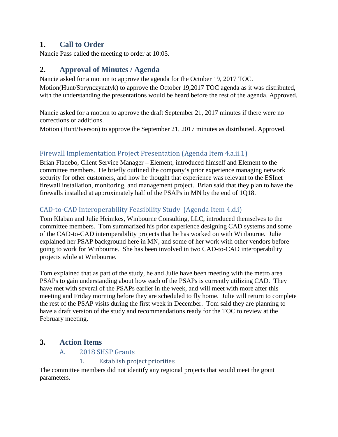#### **1. Call to Order**

Nancie Pass called the meeting to order at 10:05.

#### **2. Approval of Minutes / Agenda**

Nancie asked for a motion to approve the agenda for the October 19, 2017 TOC. Motion(Hunt/Sprynczynatyk) to approve the October 19,2017 TOC agenda as it was distributed, with the understanding the presentations would be heard before the rest of the agenda. Approved.

Nancie asked for a motion to approve the draft September 21, 2017 minutes if there were no corrections or additions.

Motion (Hunt/Iverson) to approve the September 21, 2017 minutes as distributed. Approved.

#### Firewall Implementation Project Presentation (Agenda Item 4.a.ii.1)

Brian Fladebo, Client Service Manager – Element, introduced himself and Element to the committee members. He briefly outlined the company's prior experience managing network security for other customers, and how he thought that experience was relevant to the ESInet firewall installation, monitoring, and management project. Brian said that they plan to have the firewalls installed at approximately half of the PSAPs in MN by the end of 1Q18.

#### CAD-to-CAD Interoperability Feasibility Study (Agenda Item 4.d.i)

Tom Klaban and Julie Heimkes, Winbourne Consulting, LLC, introduced themselves to the committee members. Tom summarized his prior experience designing CAD systems and some of the CAD-to-CAD interoperability projects that he has worked on with Winbourne. Julie explained her PSAP background here in MN, and some of her work with other vendors before going to work for Winbourne. She has been involved in two CAD-to-CAD interoperability projects while at Winbourne.

Tom explained that as part of the study, he and Julie have been meeting with the metro area PSAPs to gain understanding about how each of the PSAPs is currently utilizing CAD. They have met with several of the PSAPs earlier in the week, and will meet with more after this meeting and Friday morning before they are scheduled to fly home. Julie will return to complete the rest of the PSAP visits during the first week in December. Tom said they are planning to have a draft version of the study and recommendations ready for the TOC to review at the February meeting.

#### **3. Action Items**

## A. 2018 SHSP Grants<br>1. Establish pro

#### **Establish project priorities**

The committee members did not identify any regional projects that would meet the grant parameters.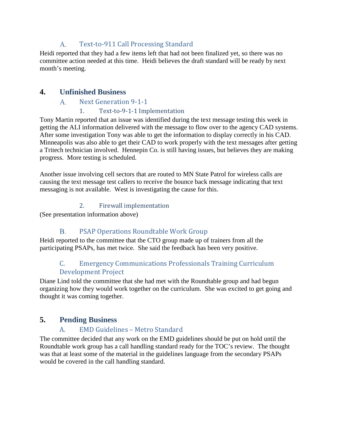#### Text-to-911 Call Processing Standard A.

Heidi reported that they had a few items left that had not been finalized yet, so there was no committee action needed at this time. Heidi believes the draft standard will be ready by next month's meeting.

#### **4. Unfinished Business**

#### Next Generation 9-1-1  $A_{\cdot}$

#### 1. Text-to-9-1-1 Implementation

Tony Martin reported that an issue was identified during the text message testing this week in getting the ALI information delivered with the message to flow over to the agency CAD systems. After some investigation Tony was able to get the information to display correctly in his CAD. Minneapolis was also able to get their CAD to work properly with the text messages after getting a Tritech technician involved. Hennepin Co. is still having issues, but believes they are making progress. More testing is scheduled.

Another issue involving cell sectors that are routed to MN State Patrol for wireless calls are causing the text message test callers to receive the bounce back message indicating that text messaging is not available. West is investigating the cause for this.

#### 2. Firewall implementation

(See presentation information above)

#### $B<sub>1</sub>$ PSAP Operations Roundtable Work Group

Heidi reported to the committee that the CTO group made up of trainers from all the participating PSAPs, has met twice. She said the feedback has been very positive.

#### C. Emergency Communications Professionals Training Curriculum Development Project

Diane Lind told the committee that she had met with the Roundtable group and had begun organizing how they would work together on the curriculum. She was excited to get going and thought it was coming together.

#### **5. Pending Business**

#### A. EMD Guidelines – Metro Standard

The committee decided that any work on the EMD guidelines should be put on hold until the Roundtable work group has a call handling standard ready for the TOC's review. The thought was that at least some of the material in the guidelines language from the secondary PSAPs would be covered in the call handling standard.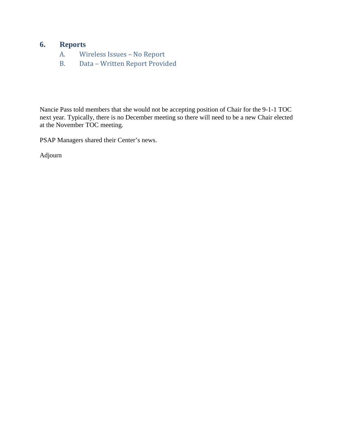### **6. Reports**

- A. Wireless Issues No Report
- B. Data Written Report Provided

Nancie Pass told members that she would not be accepting position of Chair for the 9-1-1 TOC next year. Typically, there is no December meeting so there will need to be a new Chair elected at the November TOC meeting.

PSAP Managers shared their Center's news.

Adjourn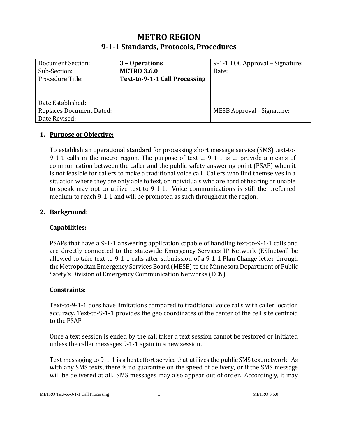#### **METRO REGION 9-1-1 Standards, Protocols, Procedures**

| <b>Document Section:</b><br>Sub-Section:<br>Procedure Title:          | 3 - Operations<br><b>METRO 3.6.0</b><br>Text-to-9-1-1 Call Processing | 9-1-1 TOC Approval – Signature:<br>Date: |
|-----------------------------------------------------------------------|-----------------------------------------------------------------------|------------------------------------------|
| Date Established:<br><b>Replaces Document Dated:</b><br>Date Revised: |                                                                       | <b>MESB Approval - Signature:</b>        |

#### **1. Purpose or Objective:**

To establish an operational standard for processing short message service (SMS) text-to-9-1-1 calls in the metro region. The purpose of text-to-9-1-1 is to provide a means of communication between the caller and the public safety answering point (PSAP) when it is not feasible for callers to make a traditional voice call. Callers who find themselves in a situation where they are only able to text, or individuals who are hard of hearing or unable to speak may opt to utilize text-to-9-1-1. Voice communications is still the preferred medium to reach 9-1-1 and will be promoted as such throughout the region.

#### **2. Background:**

#### **Capabilities:**

PSAPs that have a 9-1-1 answering application capable of handling text-to-9-1-1 calls and are directly connected to the statewide Emergency Services IP Network (ESInetwill be allowed to take text-to-9-1-1 calls after submission of a 9-1-1 Plan Change letter through the Metropolitan Emergency Services Board (MESB) to the Minnesota Department of Public Safety's Division of Emergency Communication Networks (ECN).

#### **Constraints:**

Text-to-9-1-1 does have limitations compared to traditional voice calls with caller location accuracy. Text-to-9-1-1 provides the geo coordinates of the center of the cell site centroid to the PSAP.

Once a text session is ended by the call taker a text session cannot be restored or initiated unless the caller messages 9-1-1 again in a new session.

Text messaging to 9-1-1 is a best effort service that utilizes the public SMS text network. As with any SMS texts, there is no guarantee on the speed of delivery, or if the SMS message will be delivered at all. SMS messages may also appear out of order. Accordingly, it may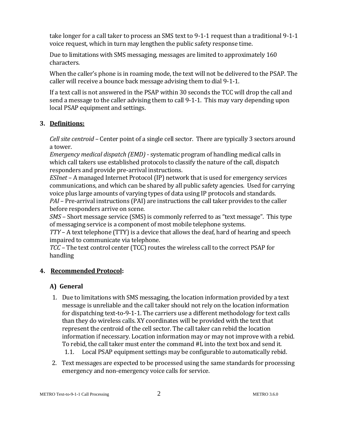take longer for a call taker to process an SMS text to 9-1-1 request than a traditional 9-1-1 voice request, which in turn may lengthen the public safety response time.

Due to limitations with SMS messaging, messages are limited to approximately 160 characters.

When the caller's phone is in roaming mode, the text will not be delivered to the PSAP. The caller will receive a bounce back message advising them to dial 9-1-1.

If a text call is not answered in the PSAP within 30 seconds the TCC will drop the call and send a message to the caller advising them to call 9-1-1. This may vary depending upon local PSAP equipment and settings.

#### **3. Definitions:**

*Cell site centroid* – Center point of a single cell sector. There are typically 3 sectors around a tower.

*Emergency medical dispatch (EMD)* - systematic program of handling medical calls in which call takers use established protocols to classify the nature of the call, dispatch responders and provide pre-arrival instructions.

*ESInet* – A managed Internet Protocol (IP) network that is used for emergency services communications, and which can be shared by all public safety agencies. Used for carrying voice plus large amounts of varying types of data using IP protocols and standards.

*PAI* – Pre-arrival instructions (PAI) are instructions the call taker provides to the caller before responders arrive on scene.

*SMS* – Short message service (SMS) is commonly referred to as "text message". This type of messaging service is a component of most mobile telephone systems.

*TTY* – A text telephone (TTY) is a device that allows the deaf, hard of hearing and speech impaired to communicate via telephone.

*TCC* – The text control center (TCC) routes the wireless call to the correct PSAP for handling

#### **4. Recommended Protocol:**

#### **A) General**

- 1. Due to limitations with SMS messaging, the location information provided by a text message is unreliable and the call taker should not rely on the location information for dispatching text-to-9-1-1. The carriers use a different methodology for text calls than they do wireless calls. XY coordinates will be provided with the text that represent the centroid of the cell sector. The call taker can rebid the location information if necessary. Location information may or may not improve with a rebid. To rebid, the call taker must enter the command #L into the text box and send it. 1.1. Local PSAP equipment settings may be configurable to automatically rebid.
- 2. Text messages are expected to be processed using the same standards for processing emergency and non-emergency voice calls for service.

METRO Text-to-9-1-1 Call Processing 2 METRO 3.6.0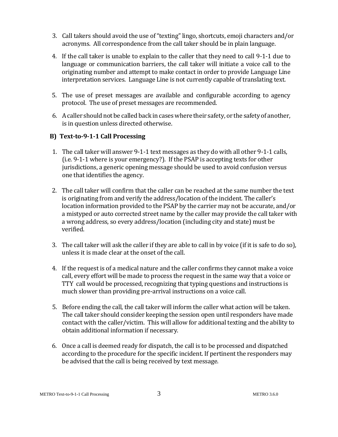- 3. Call takers should avoid the use of "texting" lingo, shortcuts, emoji characters and/or acronyms. All correspondence from the call taker should be in plain language.
- 4. If the call taker is unable to explain to the caller that they need to call 9-1-1 due to language or communication barriers, the call taker will initiate a voice call to the originating number and attempt to make contact in order to provide Language Line interpretation services. Language Line is not currently capable of translating text.
- 5. The use of preset messages are available and configurable according to agency protocol. The use of preset messages are recommended.
- 6. A caller should not be called back in cases where their safety, or the safety of another, is in question unless directed otherwise.

#### **B) Text-to-9-1-1 Call Processing**

- 1. The call taker will answer 9-1-1 text messages as they do with all other 9-1-1 calls, (i.e. 9-1-1 where is your emergency?). If the PSAP is accepting texts for other jurisdictions, a generic opening message should be used to avoid confusion versus one that identifies the agency.
- 2. The call taker will confirm that the caller can be reached at the same number the text is originating from and verify the address/location of the incident. The caller's location information provided to the PSAP by the carrier may not be accurate, and/or a mistyped or auto corrected street name by the caller may provide the call taker with a wrong address, so every address/location (including city and state) must be verified.
- 3. The call taker will ask the caller if they are able to call in by voice (if it is safe to do so), unless it is made clear at the onset of the call.
- 4. If the request is of a medical nature and the caller confirms they cannot make a voice call, every effort will be made to process the request in the same way that a voice or TTY call would be processed, recognizing that typing questions and instructions is much slower than providing pre-arrival instructions on a voice call.
- 5. Before ending the call, the call taker will inform the caller what action will be taken. The call taker should consider keeping the session open until responders have made contact with the caller/victim. This will allow for additional texting and the ability to obtain additional information if necessary.
- 6. Once a call is deemed ready for dispatch, the call is to be processed and dispatched according to the procedure for the specific incident. If pertinent the responders may be advised that the call is being received by text message.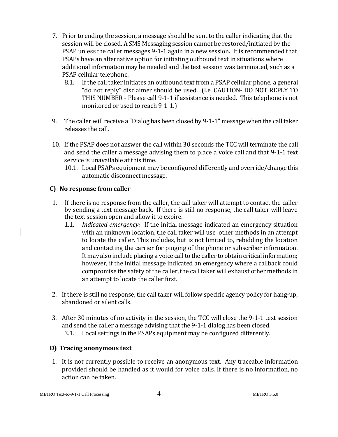- 7. Prior to ending the session, a message should be sent to the caller indicating that the session will be closed. A SMS Messaging session cannot be restored/initiated by the PSAP unless the caller messages 9-1-1 again in a new session**.** It is recommended that PSAPs have an alternative option for initiating outbound text in situations where additional information may be needed and the text session was terminated, such as a PSAP cellular telephone.
	- 8.1. If the call taker initiates an outbound text from a PSAP cellular phone, a general "do not reply" disclaimer should be used. (I.e. CAUTION- DO NOT REPLY TO THIS NUMBER - Please call 9-1-1 if assistance is needed. This telephone is not monitored or used to reach 9-1-1.)
- 9. The caller will receive a "Dialog has been closed by 9-1-1" message when the call taker releases the call.
- 10. If the PSAP does not answer the call within 30 seconds the TCC will terminate the call and send the caller a message advising them to place a voice call and that 9-1-1 text service is unavailable at this time.
	- 10.1. Local PSAPs equipment may be configured differently and override/change this automatic disconnect message.

#### **C) No response from caller**

- 1. If there is no response from the caller, the call taker will attempt to contact the caller by sending a text message back. If there is still no response, the call taker will leave the text session open and allow it to expire.
	- 1.1. *Indicated emergency:*If the initial message indicated an emergency situation with an unknown location, the call taker will use -other methods in an attempt to locate the caller. This includes, but is not limited to, rebidding the location and contacting the carrier for pinging of the phone or subscriber information. It may also include placing a voice call to the caller to obtain critical information; however, if the initial message indicated an emergency where a callback could compromise the safety of the caller, the call taker will exhaust other methods in an attempt to locate the caller first.
- 2. If there is still no response, the call taker will follow specific agency policy for hang-up, abandoned or silent calls.
- 3. After 30 minutes of no activity in the session, the TCC will close the 9-1-1 text session and send the caller a message advising that the 9-1-1 dialog has been closed.
	- 3.1. Local settings in the PSAPs equipment may be configured differently.

#### **D) Tracing anonymous text**

1. It is not currently possible to receive an anonymous text. Any traceable information provided should be handled as it would for voice calls. If there is no information, no action can be taken.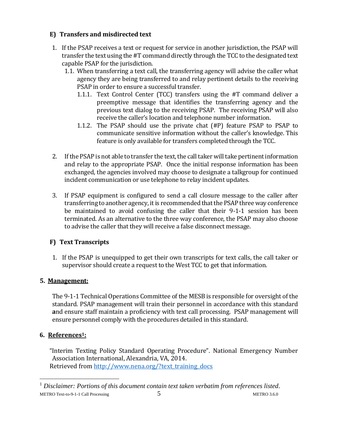#### **E) Transfers and misdirected text**

- 1. If the PSAP receives a text or request for service in another jurisdiction, the PSAP will transfer the text using the #T command directly through the TCC to the designated text capable PSAP for the jurisdiction.
	- 1.1. When transferring a text call, the transferring agency will advise the caller what agency they are being transferred to and relay pertinent details to the receiving PSAP in order to ensure a successful transfer.
		- 1.1.1. Text Control Center (TCC) transfers using the #T command deliver a preemptive message that identifies the transferring agency and the previous text dialog to the receiving PSAP. The receiving PSAP will also receive the caller's location and telephone number information.
		- 1.1.2. The PSAP should use the private chat (#P) feature PSAP to PSAP to communicate sensitive information without the caller's knowledge. This feature is only available for transfers completed through the TCC.
- 2. If the PSAP is not able to transfer the text, the call taker will take pertinent information and relay to the appropriate PSAP. Once the initial response information has been exchanged, the agencies involved may choose to designate a talkgroup for continued incident communication or use telephone to relay incident updates.
- 3. If PSAP equipment is configured to send a call closure message to the caller after transferring to another agency, it is recommended that the PSAP three way conference be maintained to avoid confusing the caller that their 9-1-1 session has been terminated. As an alternative to the three way conference, the PSAP may also choose to advise the caller that they will receive a false disconnect message.

#### **F) Text Transcripts**

1. If the PSAP is unequipped to get their own transcripts for text calls, the call taker or supervisor should create a request to the West TCC to get that information.

#### **5. Management:**

The 9-1-1 Technical Operations Committee of the MESB is responsible for oversight of the standard. PSAP management will train their personnel in accordance with this standard **a**nd ensure staff maintain a proficiency with text call processing. PSAP management will ensure personnel comply with the procedures detailed in this standard.

#### **6. References1:**

 $\overline{a}$ 

"Interim Texting Policy Standard Operating Procedure". National Emergency Number Association International, Alexandria, VA, 2014. Retrieved from [http://www.nena.org/?text\\_training\\_docs](http://www.nena.org/?text_training_docs)

METRO Text-to-9-1-1 Call Processing  $\overline{5}$  5 METRO 3.6.0 <sup>1</sup> *Disclaimer: Portions of this document contain text taken verbatim from references listed*.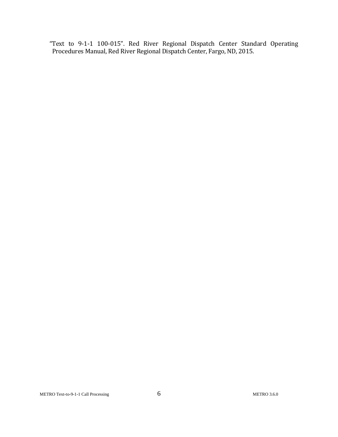"Text to 9-1-1 100-015". Red River Regional Dispatch Center Standard Operating Procedures Manual, Red River Regional Dispatch Center, Fargo, ND, 2015.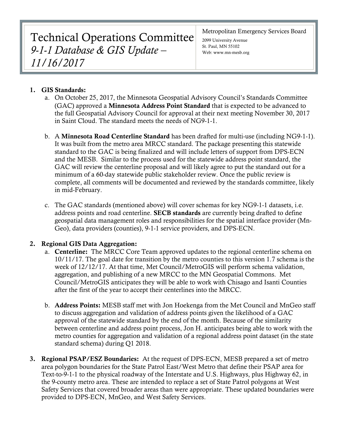Technical Operations Committee *9-1-1 Database & GIS Update – 11/16/2017*

Metropolitan Emergency Services Board

2099 University Avenue St. Paul, MN 55102 Web: www.mn-mesb.org

#### 1. GIS Standards:

- a. On October 25, 2017, the Minnesota Geospatial Advisory Council's Standards Committee (GAC) approved a Minnesota Address Point Standard that is expected to be advanced to the full Geospatial Advisory Council for approval at their next meeting November 30, 2017 in Saint Cloud. The standard meets the needs of NG9-1-1.
- b. A Minnesota Road Centerline Standard has been drafted for multi-use (including NG9-1-1). It was built from the metro area MRCC standard. The package presenting this statewide standard to the GAC is being finalized and will include letters of support from DPS-ECN and the MESB. Similar to the process used for the statewide address point standard, the GAC will review the centerline proposal and will likely agree to put the standard out for a minimum of a 60-day statewide public stakeholder review. Once the public review is complete, all comments will be documented and reviewed by the standards committee, likely in mid-February.
- c. The GAC standards (mentioned above) will cover schemas for key NG9-1-1 datasets, i.e. address points and road centerline. **SECB standards** are currently being drafted to define geospatial data management roles and responsibilities for the spatial interface provider (Mn-Geo), data providers (counties), 9-1-1 service providers, and DPS-ECN.

#### 2. Regional GIS Data Aggregation:

- a. Centerline: The MRCC Core Team approved updates to the regional centerline schema on 10/11/17. The goal date for transition by the metro counties to this version 1.7 schema is the week of 12/12/17. At that time, Met Council/MetroGIS will perform schema validation, aggregation, and publishing of a new MRCC to the MN Geospatial Commons. Met Council/MetroGIS anticipates they will be able to work with Chisago and Isanti Counties after the first of the year to accept their centerlines into the MRCC.
- b. Address Points: MESB staff met with Jon Hoekenga from the Met Council and MnGeo staff to discuss aggregation and validation of address points given the likelihood of a GAC approval of the statewide standard by the end of the month. Because of the similarity between centerline and address point process, Jon H. anticipates being able to work with the metro counties for aggregation and validation of a regional address point dataset (in the state standard schema) during Q1 2018.
- 3. Regional PSAP/ESZ Boundaries: At the request of DPS-ECN, MESB prepared a set of metro area polygon boundaries for the State Patrol East/West Metro that define their PSAP area for Text-to-9-1-1 to the physical roadway of the Interstate and U.S. Highways, plus Highway 62, in the 9-county metro area. These are intended to replace a set of State Patrol polygons at West Safety Services that covered broader areas than were appropriate. These updated boundaries were provided to DPS-ECN, MnGeo, and West Safety Services.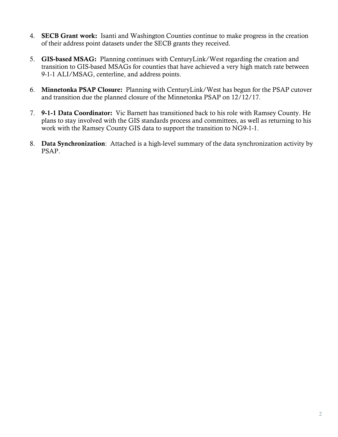- 4. SECB Grant work: Isanti and Washington Counties continue to make progress in the creation of their address point datasets under the SECB grants they received.
- 5. GIS-based MSAG: Planning continues with CenturyLink/West regarding the creation and transition to GIS-based MSAGs for counties that have achieved a very high match rate between 9-1-1 ALI/MSAG, centerline, and address points.
- 6. Minnetonka PSAP Closure: Planning with CenturyLink/West has begun for the PSAP cutover and transition due the planned closure of the Minnetonka PSAP on 12/12/17.
- 7. 9-1-1 Data Coordinator: Vic Barnett has transitioned back to his role with Ramsey County. He plans to stay involved with the GIS standards process and committees, as well as returning to his work with the Ramsey County GIS data to support the transition to NG9-1-1.
- 8. Data Synchronization: Attached is a high-level summary of the data synchronization activity by PSAP.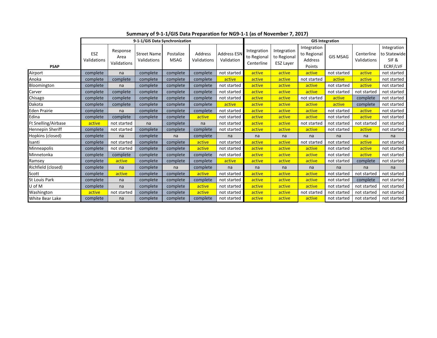|                      | 9-1-1/GIS Data Synchronization |                                 |                                   |                          |                        | <b>GIS Integration</b>           |                                          |                                                |                                                 |                 |                           |                                                 |
|----------------------|--------------------------------|---------------------------------|-----------------------------------|--------------------------|------------------------|----------------------------------|------------------------------------------|------------------------------------------------|-------------------------------------------------|-----------------|---------------------------|-------------------------------------------------|
| <b>PSAP</b>          | ESZ<br>Validations             | Response<br>Area<br>Validations | <b>Street Name</b><br>Validations | Postalize<br><b>MSAG</b> | Address<br>Validations | <b>Address ESN</b><br>Validation | Integration<br>to Regional<br>Centerline | Integration<br>to Regional<br><b>ESZ Layer</b> | Integration<br>to Regional<br>Address<br>Points | <b>GIS MSAG</b> | Centerline<br>Validations | Integration<br>to Statewide<br>SIF&<br>ECRF/LVF |
| Airport              | complete                       | na                              | complete                          | complete                 | complete               | not started                      | active                                   | active                                         | active                                          | not started     | active                    | not started                                     |
| Anoka                | complete                       | complete                        | complete                          | complete                 | complete               | active                           | active                                   | active                                         | not started                                     | active          | active                    | not started                                     |
| Bloomington          | complete                       | na                              | complete                          | complete                 | complete               | not started                      | active                                   | active                                         | active                                          | not started     | active                    | not started                                     |
| Carver               | complete                       | complete                        | complete                          | complete                 | complete               | not started                      | active                                   | active                                         | active                                          | not started     | not started               | not started                                     |
| Chisago              | complete                       | complete                        | complete                          | complete                 | complete               | not started                      | active                                   | active                                         | not started                                     | active          | complete                  | not started                                     |
| Dakota               | complete                       | complete                        | complete                          | complete                 | complete               | active                           | active                                   | active                                         | active                                          | active          | complete                  | not started                                     |
| <b>Eden Prairie</b>  | complete                       | na                              | complete                          | complete                 | complete               | not started                      | active                                   | active                                         | active                                          | not started     | active                    | not started                                     |
| Edina                | complete                       | complete                        | complete                          | complete                 | active                 | not started                      | active                                   | active                                         | active                                          | not started     | active                    | not started                                     |
| Ft Snelling/Airbase  | active                         | not started                     | na                                | complete                 | na                     | not started                      | active                                   | active                                         | not started                                     | not started     | not started               | not started                                     |
| Hennepin Sheriff     | complete                       | not started                     | complete                          | complete                 | complete               | not started                      | active                                   | active                                         | active                                          | not started     | active                    | not started                                     |
| Hopkins (closed)     | complete                       | na                              | complete                          | na                       | complete               | na                               | na                                       | na                                             | na                                              | na              | na                        | na                                              |
| Isanti               | complete                       | not started                     | complete                          | complete                 | active                 | not started                      | active                                   | active                                         | not started                                     | not started     | active                    | not started                                     |
| Minneapolis          | complete                       | not started                     | complete                          | complete                 | active                 | not started                      | active                                   | active                                         | active                                          | not started     | active                    | not started                                     |
| Minnetonka           | complete                       | complete                        | complete                          | complete                 | complete               | not started                      | active                                   | active                                         | active                                          | not started     | active                    | not started                                     |
| Ramsey               | complete                       | active                          | complete                          | complete                 | complete               | active                           | active                                   | active                                         | active                                          | not started     | complete                  | not started                                     |
| Richfield (closed)   | complete                       | na                              | complete                          | na                       | complete               | na                               | na                                       | na                                             | na                                              | na              | na                        | na                                              |
| Scott                | complete                       | active                          | complete                          | complete                 | active                 | not started                      | active                                   | active                                         | active                                          | not started     | not started               | not started                                     |
| <b>St Louis Park</b> | complete                       | na                              | complete                          | complete                 | complete               | not started                      | active                                   | active                                         | active                                          | not started     | complete                  | not started                                     |
| U of M               | complete                       | na                              | complete                          | complete                 | active                 | not started                      | active                                   | active                                         | active                                          | not started     | not started               | not started                                     |
| Washington           | active                         | not started                     | complete                          | complete                 | active                 | not started                      | active                                   | active                                         | not started                                     | not started     | not started               | not started                                     |
| White Bear Lake      | complete                       | na                              | complete                          | complete                 | complete               | not started                      | active                                   | active                                         | active                                          | not started     | not started               | not started                                     |

**Summary of 9-1-1/GIS Data Preparation for NG9-1-1 (as of November 7, 2017)**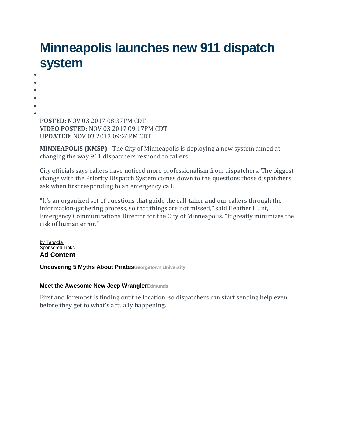## **Minneapolis launches new 911 dispatch system**

• • • • • • **POSTED:** NOV 03 2017 08:37PM CDT **VIDEO POSTED:** NOV 03 2017 09:17PM CDT **UPDATED:** NOV 03 2017 09:26PM CDT

**MINNEAPOLIS (KMSP)** - The City of Minneapolis is deploying a new system aimed at changing the way 911 dispatchers respond to callers.

City officials says callers have noticed more professionalism from dispatchers. The biggest change with the Priority Dispatch System comes down to the questions those dispatchers ask when first responding to an emergency call.

"It's an organized set of questions that guide the call-taker and our callers through the information-gathering process, so that things are not missed," said Heather Hunt, Emergency Communications Director for the City of Minneapolis. "It greatly minimizes the risk of human error."

 $\overline{a}$ <u>[by Taboola](http://popup.taboola.com/en/?template=colorbox&utm_source=myfox-myfoxtwincities&utm_medium=referral&utm_content=thumbnails-g:MIDARTICLE%20-%201:)</u> [Sponsored Links](http://popup.taboola.com/en/?template=colorbox&utm_source=myfox-myfoxtwincities&utm_medium=referral&utm_content=thumbnails-g:MIDARTICLE%20-%201:) **[A](https://ad.doubleclick.net/ddm/clk/407899501;208087895;z)d Content**

**Uncovering 5 Myths About [PiratesGeorgetown](https://ad.doubleclick.net/ddm/clk/407899501;208087895;z) University**

#### **Meet the Awesome New Jeep [WranglerEdmunds](http://www.edmunds.com/jeep/wrangler/2017/?utm_term=jeep_wrangler_core_ad1&utm_medium=display&utm_source=taboola&utm_account=myfox-myfoxtwincities&utm_campaign=taboola_core&utm_adgroup=Meet+the+Awesome+New+Jeep+Wrangler_http%3A%2F%2Fcdn.taboola.com%2Flibtrc%2Fstatic%2Fthumbnails%2F62bdda27aee2af5ee49ac4c1dc86ae94.jpg&utm_device=Desktop)**

First and foremost is finding out the location, so dispatchers can start sending help even before they get to what's actually happening.